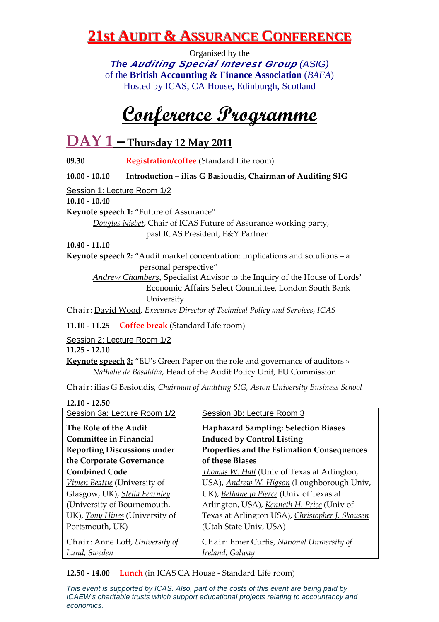Organised by the **The Auditing Special Interest Group** (ASIG) of the **British Accounting & Finance Association** (*BAFA*) Hosted by ICAS, CA House, Edinburgh, Scotland

**Conference Programme**

## **DAY 1 – Thursday 12 May 2011**

**09.30 Registration/coffee** (Standard Life room)

**10.00 - 10.10 Introduction – ilias G Basioudis, Chairman of Auditing SIG** 

Session 1: Lecture Room 1/2

**10.10 - 10.40** 

**Keynote speech 1:** "Future of Assurance"

*Douglas Nisbet,* Chair of ICAS Future of Assurance working party, past ICAS President, E&Y Partner

**10.40 - 11.10** 

**Keynote speech 2:** "Audit market concentration: implications and solutions – a personal perspective"

*Andrew Chambers*, Specialist Advisor to the Inquiry of the House of Lords' Economic Affairs Select Committee, London South Bank University

Chair: David Wood, *Executive Director of Technical Policy and Services, ICAS*

**11.10 - 11.25 Coffee break** (Standard Life room)

Session 2: Lecture Room 1/2

**11.25 - 12.10** 

**Keynote speech 3:** "EU's Green Paper on the role and governance of auditors » *Nathalie de Basaldúa*, Head of the Audit Policy Unit, EU Commission

Chair: ilias G Basioudis, *Chairman of Auditing SIG, Aston University Business School*

**12.10 - 12.50** 

| Session 3a: Lecture Room 1/2                    | Session 3b: Lecture Room 3                                    |
|-------------------------------------------------|---------------------------------------------------------------|
| The Role of the Audit                           | <b>Haphazard Sampling: Selection Biases</b>                   |
| <b>Committee in Financial</b>                   | <b>Induced by Control Listing</b>                             |
| <b>Reporting Discussions under</b>              | Properties and the Estimation Consequences                    |
| the Corporate Governance                        | of these Biases                                               |
| <b>Combined Code</b>                            | Thomas W. Hall (Univ of Texas at Arlington,                   |
| Vivien Beattie (University of                   | USA), Andrew W. Higson (Loughborough Univ,                    |
| Glasgow, UK), Stella Fearnley                   | UK), Bethane Jo Pierce (Univ of Texas at                      |
| (University of Bournemouth,                     | Arlington, USA), Kenneth H. Price (Univ of                    |
| UK), Tony Hines (University of                  | Texas at Arlington USA), Christopher J. Skousen               |
| Portsmouth, UK)                                 | (Utah State Univ, USA)                                        |
| Chair: Anne Loft, University of<br>Lund, Sweden | Chair: Emer Curtis, National University of<br>Ireland, Galway |
|                                                 |                                                               |

**12.50 - 14.00 Lunch** (in ICAS CA House - Standard Life room)

This event is supported by ICAS. Also, part of the costs of this event are being paid by ICAEW's charitable trusts which support educational projects relating to accountancy and economics.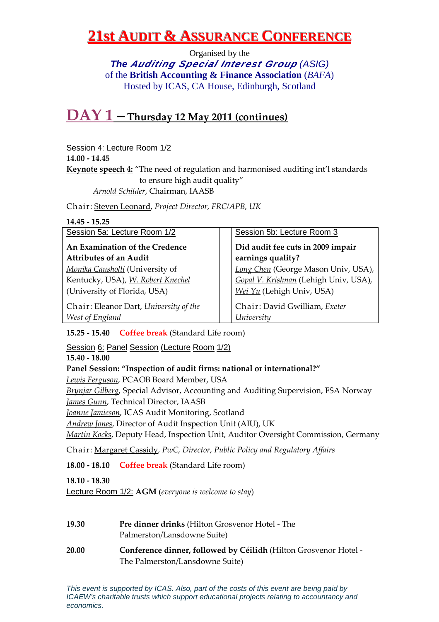Organised by the **The Auditing Special Interest Group** (ASIG) of the **British Accounting & Finance Association** (*BAFA*) Hosted by ICAS, CA House, Edinburgh, Scotland

### **DAY 1 – Thursday 12 May 2011 (continues)**

#### Session 4: Lecture Room 1/2

**14.00 - 14.45** 

**Keynote speech 4:** "The need of regulation and harmonised auditing int'l standards to ensure high audit quality"

*Arnold Schilder*, Chairman, IAASB

Chair: Steven Leonard, *Project Director, FRC/APB, UK*

| $14.45 - 15.25$                                           |                                             |
|-----------------------------------------------------------|---------------------------------------------|
| Session 5a: Lecture Room 1/2                              | Session 5b: Lecture Room 3                  |
| An Examination of the Credence                            | Did audit fee cuts in 2009 impair           |
| <b>Attributes of an Audit</b>                             | earnings quality?                           |
| Monika Causholli (University of                           | Long Chen (George Mason Univ, USA),         |
| Kentucky, USA), W. Robert Knechel                         | Gopal V. Krishnan (Lehigh Univ, USA),       |
| (University of Florida, USA)                              | Wei Yu (Lehigh Univ, USA)                   |
| Chair: Eleanor Dart, University of the<br>West of England | Chair: David Gwilliam, Exeter<br>University |

**15.25 - 15.40 Coffee break** (Standard Life room)

#### Session 6: Panel Session (Lecture Room 1/2)

**15.40 - 18.00** 

#### **Panel Session: "Inspection of audit firms: national or international?"**

*Lewis Ferguson*, PCAOB Board Member, USA

*Brynjar Gilberg*, Special Advisor, Accounting and Auditing Supervision, FSA Norway *James Gunn*, Technical Director, IAASB

*Joanne Jamieson*, ICAS Audit Monitoring, Scotland

*Andrew Jones*, Director of Audit Inspection Unit (AIU), UK

*Martin Kocks*, Deputy Head, Inspection Unit, Auditor Oversight Commission, Germany

Chair: Margaret Cassidy, *PwC, Director, Public Policy and Regulatory Affairs*

**18.00 - 18.10 Coffee break** (Standard Life room)

**18.10 - 18.30** 

Lecture Room 1/2: **AGM** (*everyone is welcome to stay*)

- **19.30 Pre dinner drinks** (Hilton Grosvenor Hotel The Palmerston/Lansdowne Suite)
- **20.00 Conference dinner, followed by Céilidh** (Hilton Grosvenor Hotel The Palmerston/Lansdowne Suite)

This event is supported by ICAS. Also, part of the costs of this event are being paid by ICAEW's charitable trusts which support educational projects relating to accountancy and economics.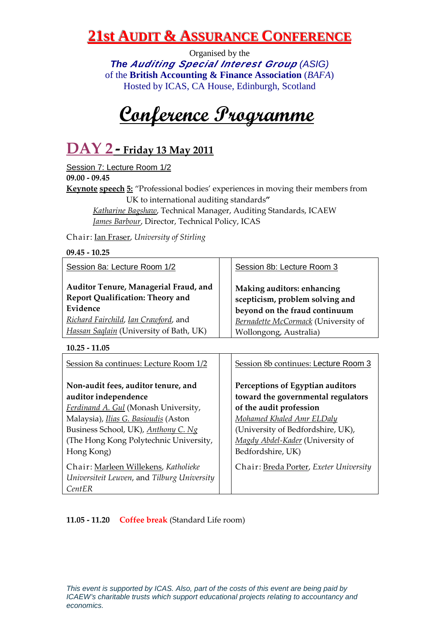Organised by the **The Auditing Special Interest Group** (ASIG) of the **British Accounting & Finance Association** (*BAFA*) Hosted by ICAS, CA House, Edinburgh, Scotland

**Conference Programme**

# **DAY 2 - Friday 13 May 2011**

Session 7: Lecture Room 1/2 **09.00 - 09.45**

**Keynote speech 5:** "Professional bodies' experiences in moving their members from UK to international auditing standards**"** 

*Katharine Bagshaw*, Technical Manager, Auditing Standards, ICAEW *James Barbour*, Director, Technical Policy, ICAS

Chair: Ian Fraser, *University of Stirling*

| $09.45 - 10.25$                                                                  |                                                               |
|----------------------------------------------------------------------------------|---------------------------------------------------------------|
| Session 8a: Lecture Room 1/2                                                     | Session 8b: Lecture Room 3                                    |
| Auditor Tenure, Managerial Fraud, and<br><b>Report Qualification: Theory and</b> | Making auditors: enhancing<br>scepticism, problem solving and |
| Evidence                                                                         | beyond on the fraud continuum                                 |
| Richard Fairchild, Ian Crawford, and                                             | Bernadette McCormack (University of                           |
| Hassan Saglain (University of Bath, UK)                                          | Wollongong, Australia)                                        |

**10.25 - 11.05** 

| Session 8a continues: Lecture Room 1/2                                                                                                                                             | Session 8b continues: Lecture Room 3                                                                                                               |  |
|------------------------------------------------------------------------------------------------------------------------------------------------------------------------------------|----------------------------------------------------------------------------------------------------------------------------------------------------|--|
| Non-audit fees, auditor tenure, and<br>auditor independence                                                                                                                        | Perceptions of Egyptian auditors<br>toward the governmental regulators                                                                             |  |
| Ferdinand A. Gul (Monash University,<br>Malaysia), <i>Ilias G. Basioudis</i> (Aston<br>Business School, UK), Anthony C. Ng<br>(The Hong Kong Polytechnic University,<br>Hong Kong) | of the audit profession<br>Mohamed Khaled Amr ELDaly<br>(University of Bedfordshire, UK),<br>Magdy Abdel-Kader (University of<br>Bedfordshire, UK) |  |
| Chair: Marleen Willekens, Katholieke<br>Universiteit Leuven, and Tilburg University<br>CentER                                                                                      | Chair: Breda Porter, Exeter University                                                                                                             |  |

**11.05 - 11.20 Coffee break** (Standard Life room)